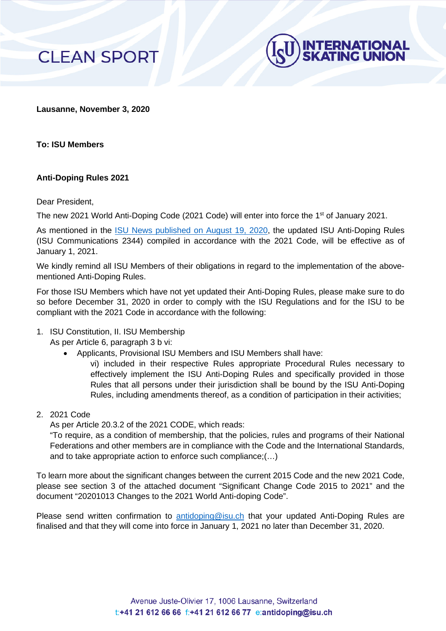



**Lausanne, November 3, 2020**

**To: ISU Members**

## **Anti-Doping Rules 2021**

Dear President,

The new 2021 World Anti-Doping Code (2021 Code) will enter into force the 1<sup>st</sup> of January 2021.

As mentioned in the [ISU News published on August 19, 2020,](https://www.isu.org/clean-sport/news/13240-isu-anti-doping-rule?templateParam=15) the updated ISU Anti-Doping Rules (ISU Communications 2344) compiled in accordance with the 2021 Code, will be effective as of January 1, 2021.

We kindly remind all ISU Members of their obligations in regard to the implementation of the abovementioned Anti-Doping Rules.

For those ISU Members which have not yet updated their Anti-Doping Rules, please make sure to do so before December 31, 2020 in order to comply with the ISU Regulations and for the ISU to be compliant with the 2021 Code in accordance with the following:

- 1. ISU Constitution, II. ISU Membership
	- As per Article 6, paragraph 3 b vi:
		- Applicants, Provisional ISU Members and ISU Members shall have:
			- vi) included in their respective Rules appropriate Procedural Rules necessary to effectively implement the ISU Anti-Doping Rules and specifically provided in those Rules that all persons under their jurisdiction shall be bound by the ISU Anti-Doping Rules, including amendments thereof, as a condition of participation in their activities;
- 2. 2021 Code

As per Article 20.3.2 of the 2021 CODE, which reads:

"To require, as a condition of membership, that the policies, rules and programs of their National Federations and other members are in compliance with the Code and the International Standards, and to take appropriate action to enforce such compliance;(…)

To learn more about the significant changes between the current 2015 Code and the new 2021 Code, please see section 3 of the attached document "Significant Change Code 2015 to 2021" and the document "20201013 Changes to the 2021 World Anti-doping Code".

Please send written confirmation to [antidoping@isu.ch](mailto:antidoping@isu.ch) that your updated Anti-Doping Rules are finalised and that they will come into force in January 1, 2021 no later than December 31, 2020.